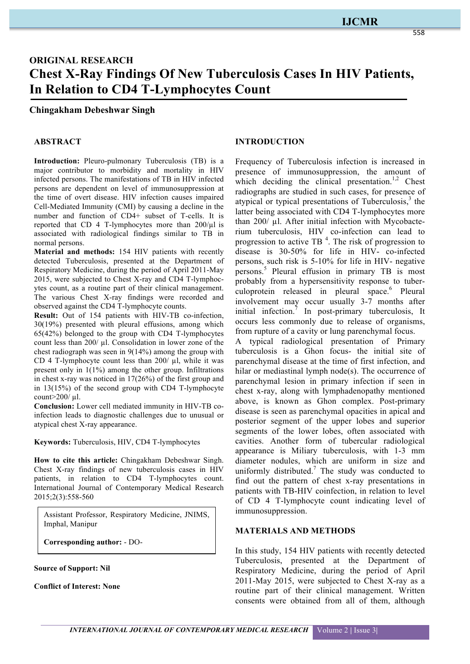## **IJCMR**

# **ORIGINAL RESEARCH Chest X-Ray Findings Of New Tuberculosis Cases In HIV Patients, In Relation to CD4 T-Lymphocytes Count**

#### **Chingakham Debeshwar Singh**

#### **ABSTRACT**

**Introduction:** Pleuro-pulmonary Tuberculosis (TB) is a major contributor to morbidity and mortality in HIV infected persons. The manifestations of TB in HIV infected persons are dependent on level of immunosuppression at the time of overt disease. HIV infection causes impaired Cell-Mediated Immunity (CMI) by causing a decline in the number and function of CD4+ subset of T-cells. It is reported that CD 4 T-lymphocytes more than  $200/\mu$ l is associated with radiological findings similar to TB in normal persons.

**Material and methods:** 154 HIV patients with recently detected Tuberculosis, presented at the Department of Respiratory Medicine, during the period of April 2011-May 2015, were subjected to Chest X-ray and CD4 T-lymphocytes count, as a routine part of their clinical management. The various Chest X-ray findings were recorded and observed against the CD4 T-lymphocyte counts.

**Result:** Out of 154 patients with HIV-TB co-infection, 30(19%) presented with pleural effusions, among which 65(42%) belonged to the group with CD4 T-lymphocytes count less than 200/ µl. Consolidation in lower zone of the chest radiograph was seen in 9(14%) among the group with CD 4 T-lymphocyte count less than 200/ ul, while it was present only in 1(1%) among the other group. Infiltrations in chest x-ray was noticed in 17(26%) of the first group and in 13(15%) of the second group with CD4 T-lymphocyte count>200/ µl.

**Conclusion:** Lower cell mediated immunity in HIV-TB coinfection leads to diagnostic challenges due to unusual or atypical chest X-ray appearance.

**Keywords:** Tuberculosis, HIV, CD4 T-lymphocytes

**How to cite this article:** Chingakham Debeshwar Singh. Chest X-ray findings of new tuberculosis cases in HIV patients, in relation to CD4 T-lymphocytes count. International Journal of Contemporary Medical Research 2015;2(3):558-560

Assistant Professor, Respiratory Medicine, JNIMS, Imphal, Manipur

**Corresponding author:** - DO-

**Source of Support: Nil**

**Conflict of Interest: None**

## **INTRODUCTION**

Frequency of Tuberculosis infection is increased in presence of immunosuppression, the amount of which deciding the clinical presentation.<sup>1,2</sup> Chest radiographs are studied in such cases, for presence of atypical or typical presentations of Tuberculosis, <sup>3</sup> the latter being associated with CD4 T-lymphocytes more than 200/ µl. After initial infection with Mycobacterium tuberculosis, HIV co-infection can lead to progression to active TB $<sup>4</sup>$ . The risk of progression to</sup> disease is 30-50% for life in HIV- co-infected persons, such risk is 5-10% for life in HIV- negative persons.<sup>5</sup> Pleural effusion in primary TB is most probably from a hypersensitivity response to tuberculoprotein released in pleural space. <sup>6</sup> Pleural involvement may occur usually 3-7 months after initial infection.<sup>7</sup> In post-primary tuberculosis, It occurs less commonly due to release of organisms, from rupture of a cavity or lung parenchymal focus.

A typical radiological presentation of Primary tuberculosis is a Ghon focus- the initial site of parenchymal disease at the time of first infection, and hilar or mediastinal lymph node(s). The occurrence of parenchymal lesion in primary infection if seen in chest x-ray, along with lymphadenopathy mentioned above, is known as Ghon complex. Post-primary disease is seen as parenchymal opacities in apical and posterior segment of the upper lobes and superior segments of the lower lobes, often associated with cavities. Another form of tubercular radiological appearance is Miliary tuberculosis, with 1-3 mm diameter nodules, which are uniform in size and uniformly distributed.<sup>7</sup> The study was conducted to find out the pattern of chest x-ray presentations in patients with TB-HIV coinfection, in relation to level of CD 4 T-lymphocyte count indicating level of immunosuppression.

#### **MATERIALS AND METHODS**

In this study, 154 HIV patients with recently detected Tuberculosis, presented at the Department of Respiratory Medicine, during the period of April 2011-May 2015, were subjected to Chest X-ray as a routine part of their clinical management. Written consents were obtained from all of them, although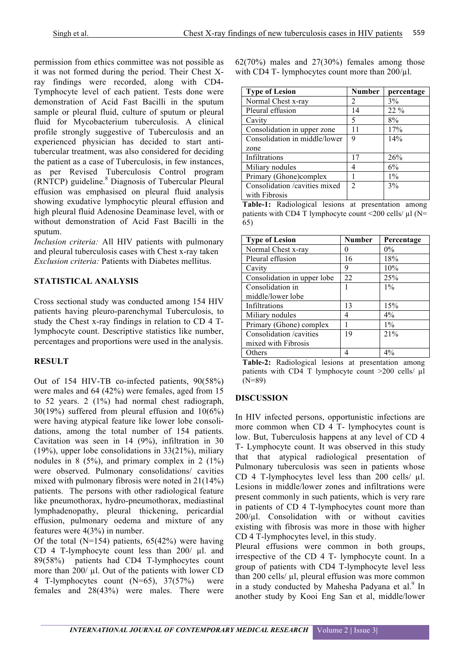permission from ethics committee was not possible as it was not formed during the period. Their Chest Xray findings were recorded, along with CD4- Tymphocyte level of each patient. Tests done were demonstration of Acid Fast Bacilli in the sputum sample or pleural fluid, culture of sputum or pleural fluid for Mycobacterium tuberculosis. A clinical profile strongly suggestive of Tuberculosis and an experienced physician has decided to start antitubercular treatment, was also considered for deciding the patient as a case of Tuberculosis, in few instances, as per Revised Tuberculosis Control program (RNTCP) guideline. <sup>8</sup> Diagnosis of Tubercular Pleural effusion was emphasised on pleural fluid analysis showing exudative lymphocytic pleural effusion and high pleural fluid Adenosine Deaminase level, with or without demonstration of Acid Fast Bacilli in the sputum.

*Inclusion criteria:* All HIV patients with pulmonary and pleural tuberculosis cases with Chest x-ray taken *Exclusion criteria:* Patients with Diabetes mellitus.

## **STATISTICAL ANALYSIS**

Cross sectional study was conducted among 154 HIV patients having pleuro-parenchymal Tuberculosis, to study the Chest x-ray findings in relation to CD 4 Tlymphocyte count. Descriptive statistics like number, percentages and proportions were used in the analysis.

## **RESULT**

Out of 154 HIV-TB co-infected patients, 90(58%) were males and 64 (42%) were females, aged from 15 to 52 years. 2 (1%) had normal chest radiograph, 30(19%) suffered from pleural effusion and 10(6%) were having atypical feature like lower lobe consolidations, among the total number of 154 patients. Cavitation was seen in 14 (9%), infiltration in 30 (19%), upper lobe consolidations in 33(21%), miliary nodules in  $8$  (5%), and primary complex in 2 (1%) were observed. Pulmonary consolidations/ cavities mixed with pulmonary fibrosis were noted in 21(14%) patients. The persons with other radiological feature like pneumothorax, hydro-pneumothorax, mediastinal lymphadenopathy, pleural thickening, pericardial effusion, pulmonary oedema and mixture of any features were 4(3%) in number.

Of the total (N=154) patients,  $65(42%)$  were having CD 4 T-lymphocyte count less than 200/ µl. and 89(58%) patients had CD4 T-lymphocytes count more than 200/ µl. Out of the patients with lower CD 4 T-lymphocytes count (N=65), 37(57%) were females and 28(43%) were males. There were 62(70%) males and 27(30%) females among those with CD4 T- lymphocytes count more than  $200/\mu$ l.

| <b>Type of Lesion</b>         | <b>Number</b>  | percentage |
|-------------------------------|----------------|------------|
| Normal Chest x-ray            | 2              | 3%         |
| Pleural effusion              | 14             | $22\%$     |
| Cavity                        | 5              | $8\%$      |
| Consolidation in upper zone   | 11             | 17%        |
| Consolidation in middle/lower | 9              | 14%        |
| zone                          |                |            |
| Infiltrations                 | 17             | 26%        |
| Miliary nodules               | 4              | 6%         |
| Primary (Ghone)complex        |                | $1\%$      |
| Consolidation /cavities mixed | $\overline{2}$ | 3%         |
| with Fibrosis                 |                |            |

**Table-1:** Radiological lesions at presentation among patients with CD4 T lymphocyte count  $\langle 200 \text{ cells/ } \mu \text{I} \rangle$  (N= 65)

| <b>Type of Lesion</b>       | <b>Number</b> | Percentage |
|-----------------------------|---------------|------------|
| Normal Chest x-ray          | $\Omega$      | $0\%$      |
| Pleural effusion            | 16            | 18%        |
| Cavity                      | 9             | 10%        |
| Consolidation in upper lobe | 22            | 25%        |
| Consolidation in            |               | $1\%$      |
| middle/lower lobe           |               |            |
| Infiltrations               | 13            | 15%        |
| Miliary nodules             | 4             | 4%         |
| Primary (Ghone) complex     |               | $1\%$      |
| Consolidation /cavities     | 19            | 21%        |
| mixed with Fibrosis         |               |            |
| Others                      |               | 4%         |

**Table-2:** Radiological lesions at presentation among patients with CD4 T lymphocyte count >200 cells/ µl (N=89)

## **DISCUSSION**

In HIV infected persons, opportunistic infections are more common when CD 4 T- lymphocytes count is low. But, Tuberculosis happens at any level of CD 4 T- Lymphocyte count. It was observed in this study that that atypical radiological presentation of Pulmonary tuberculosis was seen in patients whose CD 4 T-lymphocytes level less than 200 cells/  $\mu$ l. Lesions in middle/lower zones and infiltrations were present commonly in such patients, which is very rare in patients of CD 4 T-lymphocytes count more than  $200/\mu$ l. Consolidation with or without cavities existing with fibrosis was more in those with higher CD 4 T-lymphocytes level, in this study.

Pleural effusions were common in both groups, irrespective of the CD 4 T- lymphocyte count. In a group of patients with CD4 T-lymphocyte level less than 200 cells/ µl, pleural effusion was more common in a study conducted by Mahesha Padyana et al.<sup>9</sup> In another study by Kooi Eng San et al, middle/lower